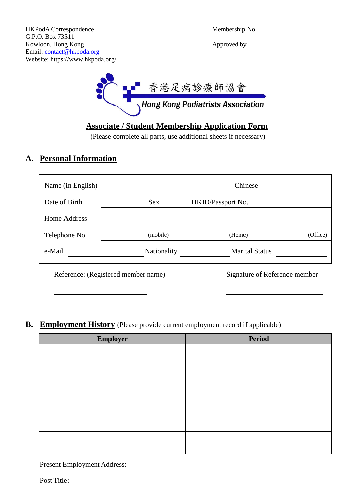| Membership No. |  |  |
|----------------|--|--|
|                |  |  |



# **Associate / Student Membership Application Form**

(Please complete all parts, use additional sheets if necessary)

## **A. Personal Information**

| Name (in English)                   |             | Chinese                       |          |
|-------------------------------------|-------------|-------------------------------|----------|
| Date of Birth                       | <b>Sex</b>  | HKID/Passport No.             |          |
| Home Address                        |             |                               |          |
| Telephone No.                       | (mobile)    | (Home)                        | (Office) |
| e-Mail                              | Nationality | <b>Marital Status</b>         |          |
| Reference: (Registered member name) |             | Signature of Reference member |          |

#### **B. Employment History** (Please provide current employment record if applicable)

| Employer | <b>Period</b> |
|----------|---------------|
|          |               |
|          |               |
|          |               |
|          |               |
|          |               |
|          |               |

Present Employment Address:

Post Title: